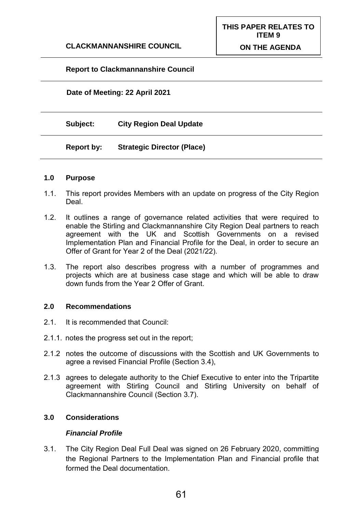**THIS PAPER RELATES TO** 

# **Report to Clackmannanshire Council**

## **Date of Meeting: 22 April 2021**

**Subject: City Region Deal Update**

### **Report by: Strategic Director (Place)**

### **1.0 Purpose**

- 1.1. This report provides Members with an update on progress of the City Region Deal.
- 1.2. It outlines a range of governance related activities that were required to enable the Stirling and Clackmannanshire City Region Deal partners to reach agreement with the UK and Scottish Governments on a revised Implementation Plan and Financial Profile for the Deal, in order to secure an Offer of Grant for Year 2 of the Deal (2021/22).
- 1.3. The report also describes progress with a number of programmes and projects which are at business case stage and which will be able to draw down funds from the Year 2 Offer of Grant.

### **2.0 Recommendations**

- 2.1. It is recommended that Council:
- 2.1.1. notes the progress set out in the report;
- 2.1.2 notes the outcome of discussions with the Scottish and UK Governments to agree a revised Financial Profile (Section 3.4),
- 2.1.3 agrees to delegate authority to the Chief Executive to enter into the Tripartite agreement with Stirling Council and Stirling University on behalf of Clackmannanshire Council (Section 3.7).

## **3.0 Considerations**

### *Financial Profile*

3.1. The City Region Deal Full Deal was signed on 26 February 2020, committing the Regional Partners to the Implementation Plan and Financial profile that formed the Deal documentation.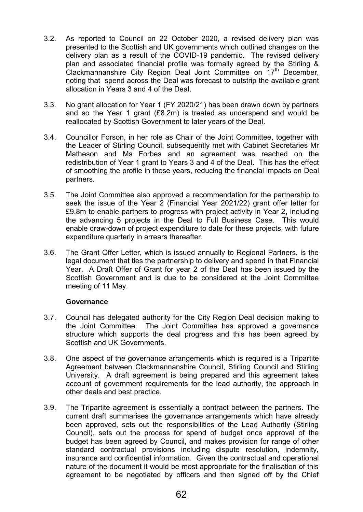- 3.2. As reported to Council on 22 October 2020, a revised delivery plan was presented to the Scottish and UK governments which outlined changes on the delivery plan as a result of the COVID-19 pandemic. The revised delivery plan and associated financial profile was formally agreed by the Stirling & Clackmannanshire City Region Deal Joint Committee on  $17<sup>th</sup>$  December, noting that spend across the Deal was forecast to outstrip the available grant allocation in Years 3 and 4 of the Deal.
- 3.3. No grant allocation for Year 1 (FY 2020/21) has been drawn down by partners and so the Year 1 grant (£8.2m) is treated as underspend and would be reallocated by Scottish Government to later years of the Deal.
- 3.4. Councillor Forson, in her role as Chair of the Joint Committee, together with the Leader of Stirling Council, subsequently met with Cabinet Secretaries Mr Matheson and Ms Forbes and an agreement was reached on the redistribution of Year 1 grant to Years 3 and 4 of the Deal. This has the effect of smoothing the profile in those years, reducing the financial impacts on Deal partners.
- 3.5. The Joint Committee also approved a recommendation for the partnership to seek the issue of the Year 2 (Financial Year 2021/22) grant offer letter for £9.8m to enable partners to progress with project activity in Year 2, including the advancing 5 projects in the Deal to Full Business Case. This would enable draw-down of project expenditure to date for these projects, with future expenditure quarterly in arrears thereafter.
- 3.6. The Grant Offer Letter, which is issued annually to Regional Partners, is the legal document that ties the partnership to delivery and spend in that Financial Year. A Draft Offer of Grant for year 2 of the Deal has been issued by the Scottish Government and is due to be considered at the Joint Committee meeting of 11 May.

### **Governance**

- 3.7. Council has delegated authority for the City Region Deal decision making to the Joint Committee. The Joint Committee has approved a governance structure which supports the deal progress and this has been agreed by Scottish and UK Governments.
- 3.8. One aspect of the governance arrangements which is required is a Tripartite Agreement between Clackmannanshire Council, Stirling Council and Stirling University. A draft agreement is being prepared and this agreement takes account of government requirements for the lead authority, the approach in other deals and best practice.
- 3.9. The Tripartite agreement is essentially a contract between the partners. The current draft summarises the governance arrangements which have already been approved, sets out the responsibilities of the Lead Authority (Stirling Council), sets out the process for spend of budget once approval of the budget has been agreed by Council, and makes provision for range of other standard contractual provisions including dispute resolution, indemnity, insurance and confidential information. Given the contractual and operational nature of the document it would be most appropriate for the finalisation of this agreement to be negotiated by officers and then signed off by the Chief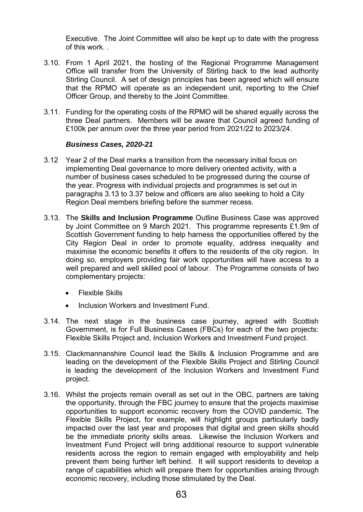Executive. The Joint Committee will also be kept up to date with the progress of this work. .

- 3.10. From 1 April 2021, the hosting of the Regional Programme Management Office will transfer from the University of Stirling back to the lead authority Stirling Council. A set of design principles has been agreed which will ensure that the RPMO will operate as an independent unit, reporting to the Chief Officer Group, and thereby to the Joint Committee.
- 3.11. Funding for the operating costs of the RPMO will be shared equally across the three Deal partners. Members will be aware that Council agreed funding of £100k per annum over the three year period from 2021/22 to 2023/24.

### *Business Cases, 2020-21*

- 3.12 Year 2 of the Deal marks a transition from the necessary initial focus on implementing Deal governance to more delivery oriented activity, with a number of business cases scheduled to be progressed during the course of the year. Progress with individual projects and programmes is set out in paragraphs 3.13 to 3.37 below and officers are also seeking to hold a City Region Deal members briefing before the summer recess.
- 3.13. The **Skills and Inclusion Programme** Outline Business Case was approved by Joint Committee on 9 March 2021. This programme represents £1.9m of Scottish Government funding to help harness the opportunities offered by the City Region Deal in order to promote equality, address inequality and maximise the economic benefits it offers to the residents of the city region. In doing so, employers providing fair work opportunities will have access to a well prepared and well skilled pool of labour. The Programme consists of two complementary projects:
	- Flexible Skills
	- Inclusion Workers and Investment Fund.
- 3.14. The next stage in the business case journey, agreed with Scottish Government, is for Full Business Cases (FBCs) for each of the two projects: Flexible Skills Project and, Inclusion Workers and Investment Fund project.
- 3.15. Clackmannanshire Council lead the Skills & Inclusion Programme and are leading on the development of the Flexible Skills Project and Stirling Council is leading the development of the Inclusion Workers and Investment Fund project.
- 3.16. Whilst the projects remain overall as set out in the OBC, partners are taking the opportunity, through the FBC journey to ensure that the projects maximise opportunities to support economic recovery from the COVID pandemic. The Flexible Skills Project, for example, will highlight groups particularly badly impacted over the last year and proposes that digital and green skills should be the immediate priority skills areas. Likewise the Inclusion Workers and Investment Fund Project will bring additional resource to support vulnerable residents across the region to remain engaged with employability and help prevent them being further left behind. It will support residents to develop a range of capabilities which will prepare them for opportunities arising through economic recovery, including those stimulated by the Deal.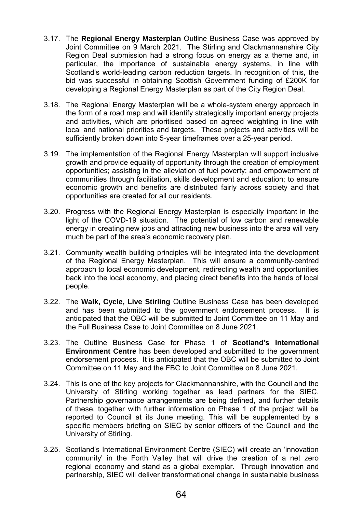- 3.17. The **Regional Energy Masterplan** Outline Business Case was approved by Joint Committee on 9 March 2021. The Stirling and Clackmannanshire City Region Deal submission had a strong focus on energy as a theme and, in particular, the importance of sustainable energy systems, in line with Scotland's world-leading carbon reduction targets. In recognition of this, the bid was successful in obtaining Scottish Government funding of £200K for developing a Regional Energy Masterplan as part of the City Region Deal.
- 3.18. The Regional Energy Masterplan will be a whole-system energy approach in the form of a road map and will identify strategically important energy projects and activities, which are prioritised based on agreed weighting in line with local and national priorities and targets. These projects and activities will be sufficiently broken down into 5-year timeframes over a 25-year period.
- 3.19. The implementation of the Regional Energy Masterplan will support inclusive growth and provide equality of opportunity through the creation of employment opportunities; assisting in the alleviation of fuel poverty; and empowerment of communities through facilitation, skills development and education; to ensure economic growth and benefits are distributed fairly across society and that opportunities are created for all our residents.
- 3.20. Progress with the Regional Energy Masterplan is especially important in the light of the COVD-19 situation. The potential of low carbon and renewable energy in creating new jobs and attracting new business into the area will very much be part of the area's economic recovery plan.
- 3.21. Community wealth building principles will be integrated into the development of the Regional Energy Masterplan. This will ensure a community-centred approach to local economic development, redirecting wealth and opportunities back into the local economy, and placing direct benefits into the hands of local people.
- 3.22. The **Walk, Cycle, Live Stirling** Outline Business Case has been developed and has been submitted to the government endorsement process. It is anticipated that the OBC will be submitted to Joint Committee on 11 May and the Full Business Case to Joint Committee on 8 June 2021.
- 3.23. The Outline Business Case for Phase 1 of **Scotland's International Environment Centre** has been developed and submitted to the government endorsement process. It is anticipated that the OBC will be submitted to Joint Committee on 11 May and the FBC to Joint Committee on 8 June 2021.
- 3.24. This is one of the key projects for Clackmannanshire, with the Council and the University of Stirling working together as lead partners for the SIEC. Partnership governance arrangements are being defined, and further details of these, together with further information on Phase 1 of the project will be reported to Council at its June meeting. This will be supplemented by a specific members briefing on SIEC by senior officers of the Council and the University of Stirling.
- 3.25. Scotland's International Environment Centre (SIEC) will create an 'innovation community' in the Forth Valley that will drive the creation of a net zero regional economy and stand as a global exemplar. Through innovation and partnership, SIEC will deliver transformational change in sustainable business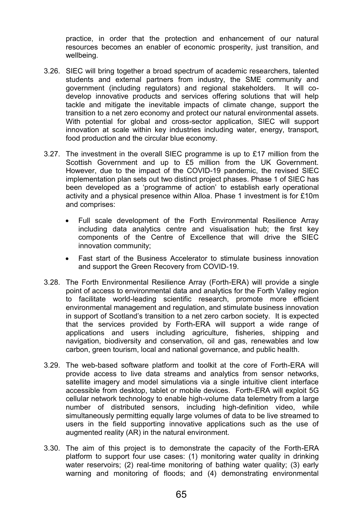practice, in order that the protection and enhancement of our natural resources becomes an enabler of economic prosperity, just transition, and wellbeing.

- 3.26. SIEC will bring together a broad spectrum of academic researchers, talented students and external partners from industry, the SME community and government (including regulators) and regional stakeholders. It will codevelop innovative products and services offering solutions that will help tackle and mitigate the inevitable impacts of climate change, support the transition to a net zero economy and protect our natural environmental assets. With potential for global and cross-sector application, SIEC will support innovation at scale within key industries including water, energy, transport, food production and the circular blue economy.
- 3.27. The investment in the overall SIEC programme is up to £17 million from the Scottish Government and up to £5 million from the UK Government. However, due to the impact of the COVID-19 pandemic, the revised SIEC implementation plan sets out two distinct project phases. Phase 1 of SIEC has been developed as a 'programme of action' to establish early operational activity and a physical presence within Alloa. Phase 1 investment is for £10m and comprises:
	- Full scale development of the Forth Environmental Resilience Array including data analytics centre and visualisation hub; the first key components of the Centre of Excellence that will drive the SIEC innovation community;
	- Fast start of the Business Accelerator to stimulate business innovation and support the Green Recovery from COVID-19.
- 3.28. The Forth Environmental Resilience Array (Forth-ERA) will provide a single point of access to environmental data and analytics for the Forth Valley region to facilitate world-leading scientific research, promote more efficient environmental management and regulation, and stimulate business innovation in support of Scotland's transition to a net zero carbon society. It is expected that the services provided by Forth-ERA will support a wide range of applications and users including agriculture, fisheries, shipping and navigation, biodiversity and conservation, oil and gas, renewables and low carbon, green tourism, local and national governance, and public health.
- 3.29. The web-based software platform and toolkit at the core of Forth-ERA will provide access to live data streams and analytics from sensor networks, satellite imagery and model simulations via a single intuitive client interface accessible from desktop, tablet or mobile devices. Forth-ERA will exploit 5G cellular network technology to enable high-volume data telemetry from a large number of distributed sensors, including high-definition video, while simultaneously permitting equally large volumes of data to be live streamed to users in the field supporting innovative applications such as the use of augmented reality (AR) in the natural environment.
- 3.30. The aim of this project is to demonstrate the capacity of the Forth-ERA platform to support four use cases: (1) monitoring water quality in drinking water reservoirs; (2) real-time monitoring of bathing water quality; (3) early warning and monitoring of floods; and (4) demonstrating environmental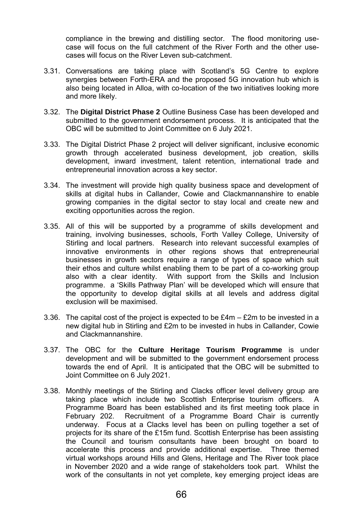compliance in the brewing and distilling sector. The flood monitoring usecase will focus on the full catchment of the River Forth and the other usecases will focus on the River Leven sub-catchment.

- 3.31. Conversations are taking place with Scotland's 5G Centre to explore synergies between Forth-ERA and the proposed 5G innovation hub which is also being located in Alloa, with co-location of the two initiatives looking more and more likely.
- 3.32. The **Digital District Phase 2** Outline Business Case has been developed and submitted to the government endorsement process. It is anticipated that the OBC will be submitted to Joint Committee on 6 July 2021.
- 3.33. The Digital District Phase 2 project will deliver significant, inclusive economic growth through accelerated business development, job creation, skills development, inward investment, talent retention, international trade and entrepreneurial innovation across a key sector.
- 3.34. The investment will provide high quality business space and development of skills at digital hubs in Callander, Cowie and Clackmannanshire to enable growing companies in the digital sector to stay local and create new and exciting opportunities across the region.
- 3.35. All of this will be supported by a programme of skills development and training, involving businesses, schools, Forth Valley College, University of Stirling and local partners. Research into relevant successful examples of innovative environments in other regions shows that entrepreneurial businesses in growth sectors require a range of types of space which suit their ethos and culture whilst enabling them to be part of a co-working group also with a clear identity. With support from the Skills and Inclusion programme. a 'Skills Pathway Plan' will be developed which will ensure that the opportunity to develop digital skills at all levels and address digital exclusion will be maximised.
- 3.36. The capital cost of the project is expected to be £4m £2m to be invested in a new digital hub in Stirling and £2m to be invested in hubs in Callander, Cowie and Clackmannanshire.
- 3.37. The OBC for the **Culture Heritage Tourism Programme** is under development and will be submitted to the government endorsement process towards the end of April. It is anticipated that the OBC will be submitted to Joint Committee on 6 July 2021.
- 3.38. Monthly meetings of the Stirling and Clacks officer level delivery group are taking place which include two Scottish Enterprise tourism officers. A Programme Board has been established and its first meeting took place in February 202. Recruitment of a Programme Board Chair is currently underway. Focus at a Clacks level has been on pulling together a set of projects for its share of the £15m fund. Scottish Enterprise has been assisting the Council and tourism consultants have been brought on board to accelerate this process and provide additional expertise. Three themed virtual workshops around Hills and Glens, Heritage and The River took place in November 2020 and a wide range of stakeholders took part. Whilst the work of the consultants in not yet complete, key emerging project ideas are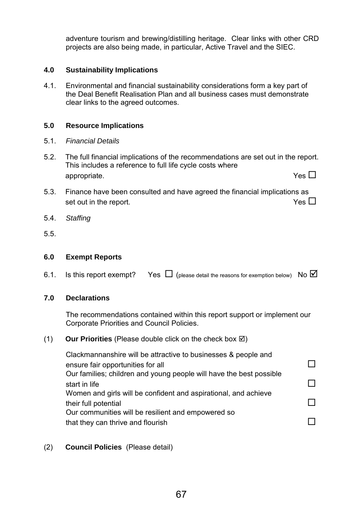adventure tourism and brewing/distilling heritage. Clear links with other CRD projects are also being made, in particular, Active Travel and the SIEC.

## **4.0 Sustainability Implications**

4.1. Environmental and financial sustainability considerations form a key part of the Deal Benefit Realisation Plan and all business cases must demonstrate clear links to the agreed outcomes.

### **5.0 Resource Implications**

- 5.1. *Financial Details*
- 5.2. The full financial implications of the recommendations are set out in the report. This includes a reference to full life cycle costs where appropriate.  $Y$ es  $\square$
- 5.3. Finance have been consulted and have agreed the financial implications as set out in the report.  $Y$ es  $\square$
- 5.4. *Staffing*
- 5.5.

#### **6.0 Exempt Reports**

6.1. Is this report exempt? Yes  $\Box$  (please detail the reasons for exemption below) No  $\Box$ 

### **7.0 Declarations**

The recommendations contained within this report support or implement our Corporate Priorities and Council Policies.

#### $(1)$  **Our Priorities** (Please double click on the check box  $\boxtimes$ )

Clackmannanshire will be attractive to businesses & people and ensure fair opportunities for all  $\square$ Our families; children and young people will have the best possible start in life  $\Box$ Women and girls will be confident and aspirational, and achieve their full potential Our communities will be resilient and empowered so that they can thrive and flourish  $\square$ 

### (2) **Council Policies** (Please detail)